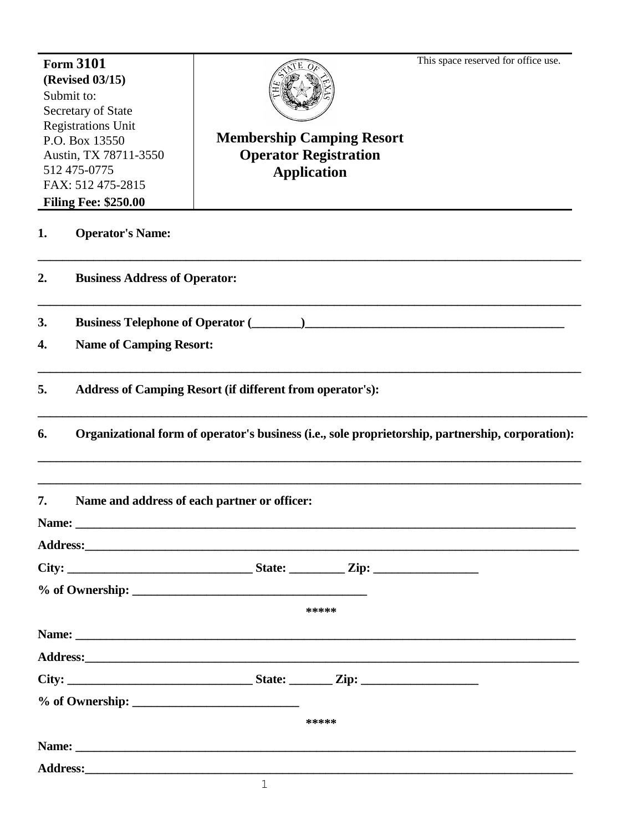This space reserved for office use.

| <b>Form 3101</b><br>(Revised 03/15)<br>Submit to:<br>Secretary of State |                                                                                                                                                                                                                                |                                  |       | This space reserved for office use. |  |  |
|-------------------------------------------------------------------------|--------------------------------------------------------------------------------------------------------------------------------------------------------------------------------------------------------------------------------|----------------------------------|-------|-------------------------------------|--|--|
| <b>Registrations Unit</b><br>P.O. Box 13550<br>Austin, TX 78711-3550    |                                                                                                                                                                                                                                | <b>Membership Camping Resort</b> |       |                                     |  |  |
|                                                                         |                                                                                                                                                                                                                                | <b>Operator Registration</b>     |       |                                     |  |  |
| 512 475-0775                                                            |                                                                                                                                                                                                                                | <b>Application</b>               |       |                                     |  |  |
| FAX: 512 475-2815                                                       |                                                                                                                                                                                                                                |                                  |       |                                     |  |  |
|                                                                         | <b>Filing Fee: \$250.00</b>                                                                                                                                                                                                    |                                  |       |                                     |  |  |
| 1.                                                                      | <b>Operator's Name:</b>                                                                                                                                                                                                        |                                  |       |                                     |  |  |
| $\overline{2}$ .                                                        | <b>Business Address of Operator:</b>                                                                                                                                                                                           |                                  |       |                                     |  |  |
| 3.                                                                      | <b>Business Telephone of Operator (</b>                                                                                                                                                                                        |                                  |       |                                     |  |  |
| 4.                                                                      | <b>Name of Camping Resort:</b>                                                                                                                                                                                                 |                                  |       |                                     |  |  |
| 5.                                                                      | Address of Camping Resort (if different from operator's):                                                                                                                                                                      |                                  |       |                                     |  |  |
| 6.                                                                      | Organizational form of operator's business (i.e., sole proprietorship, partnership, corporation):                                                                                                                              |                                  |       |                                     |  |  |
| 7.                                                                      | Name and address of each partner or officer:                                                                                                                                                                                   |                                  |       |                                     |  |  |
| Name:                                                                   |                                                                                                                                                                                                                                |                                  |       |                                     |  |  |
|                                                                         |                                                                                                                                                                                                                                |                                  |       |                                     |  |  |
|                                                                         |                                                                                                                                                                                                                                |                                  |       |                                     |  |  |
|                                                                         |                                                                                                                                                                                                                                |                                  |       |                                     |  |  |
|                                                                         |                                                                                                                                                                                                                                |                                  | ***** |                                     |  |  |
|                                                                         |                                                                                                                                                                                                                                |                                  |       |                                     |  |  |
|                                                                         |                                                                                                                                                                                                                                |                                  |       |                                     |  |  |
|                                                                         |                                                                                                                                                                                                                                |                                  |       |                                     |  |  |
|                                                                         |                                                                                                                                                                                                                                |                                  |       |                                     |  |  |
|                                                                         |                                                                                                                                                                                                                                |                                  |       |                                     |  |  |
|                                                                         |                                                                                                                                                                                                                                |                                  | ***** |                                     |  |  |
|                                                                         | Name:                                                                                                                                                                                                                          |                                  |       |                                     |  |  |
|                                                                         | Address: the contract of the contract of the contract of the contract of the contract of the contract of the contract of the contract of the contract of the contract of the contract of the contract of the contract of the c |                                  |       |                                     |  |  |
|                                                                         |                                                                                                                                                                                                                                | $\mathbf{1}$                     |       |                                     |  |  |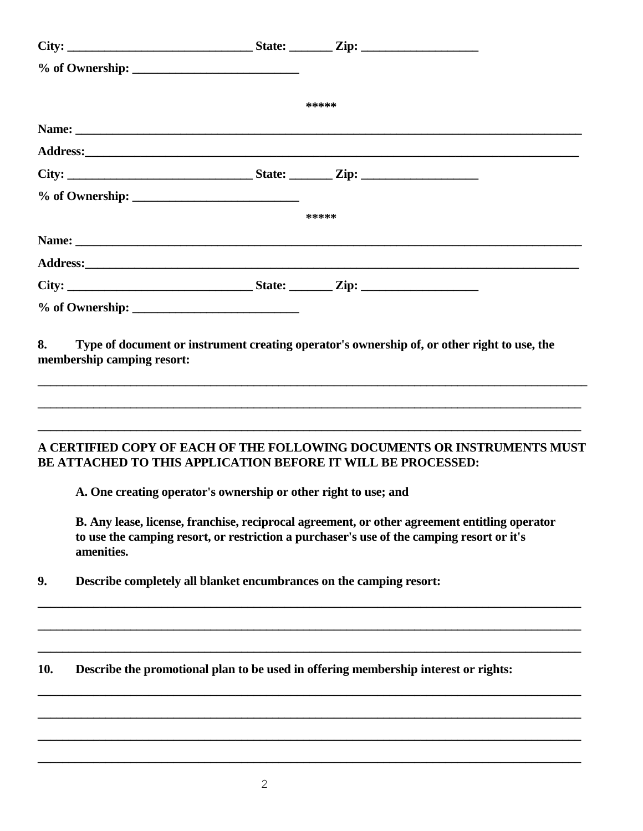|     |                                                                     |  | *****                                                                                                                                                                                      |  |  |
|-----|---------------------------------------------------------------------|--|--------------------------------------------------------------------------------------------------------------------------------------------------------------------------------------------|--|--|
|     |                                                                     |  |                                                                                                                                                                                            |  |  |
|     |                                                                     |  |                                                                                                                                                                                            |  |  |
|     |                                                                     |  |                                                                                                                                                                                            |  |  |
|     |                                                                     |  |                                                                                                                                                                                            |  |  |
|     |                                                                     |  | *****                                                                                                                                                                                      |  |  |
|     |                                                                     |  |                                                                                                                                                                                            |  |  |
|     |                                                                     |  |                                                                                                                                                                                            |  |  |
|     |                                                                     |  |                                                                                                                                                                                            |  |  |
|     |                                                                     |  |                                                                                                                                                                                            |  |  |
|     |                                                                     |  | A CERTIFIED COPY OF EACH OF THE FOLLOWING DOCUMENTS OR INSTRUMENTS MUST<br>BE ATTACHED TO THIS APPLICATION BEFORE IT WILL BE PROCESSED:                                                    |  |  |
|     | A. One creating operator's ownership or other right to use; and     |  |                                                                                                                                                                                            |  |  |
|     | amenities.                                                          |  | B. Any lease, license, franchise, reciprocal agreement, or other agreement entitling operator<br>to use the camping resort, or restriction a purchaser's use of the camping resort or it's |  |  |
| 9.  | Describe completely all blanket encumbrances on the camping resort: |  |                                                                                                                                                                                            |  |  |
| 10. |                                                                     |  | Describe the promotional plan to be used in offering membership interest or rights:                                                                                                        |  |  |
|     |                                                                     |  |                                                                                                                                                                                            |  |  |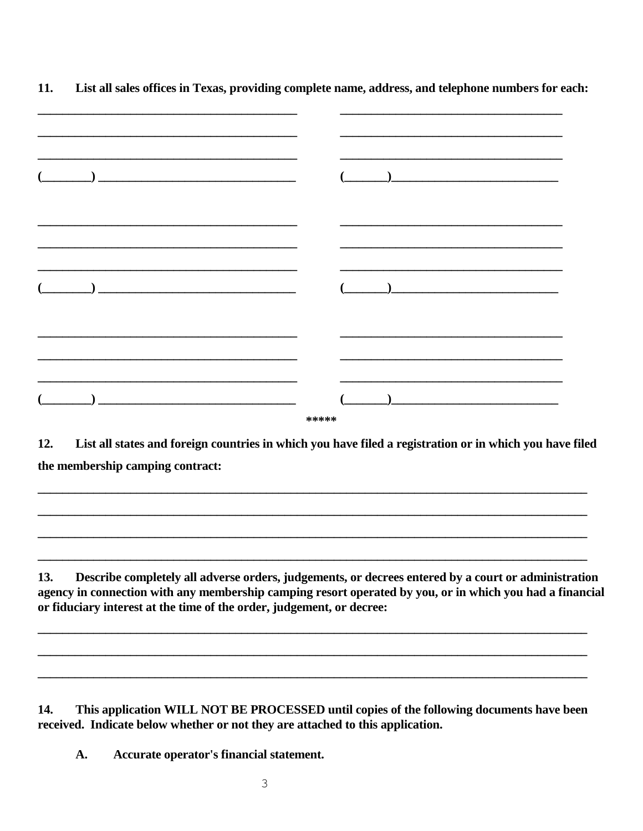| $\begin{pmatrix} 1 & 0 & 0 \\ 0 & 0 & 0 \\ 0 & 0 & 0 \\ 0 & 0 & 0 \\ 0 & 0 & 0 \\ 0 & 0 & 0 \\ 0 & 0 & 0 \\ 0 & 0 & 0 \\ 0 & 0 & 0 \\ 0 & 0 & 0 \\ 0 & 0 & 0 \\ 0 & 0 & 0 \\ 0 & 0 & 0 \\ 0 & 0 & 0 & 0 \\ 0 & 0 & 0 & 0 \\ 0 & 0 & 0 & 0 \\ 0 & 0 & 0 & 0 & 0 \\ 0 & 0 & 0 & 0 & 0 \\ 0 & 0 & 0 & 0 & 0 \\ 0 & 0 & 0 & 0 & 0 & $ | $\mathbf{r}$ and $\mathbf{r}$ are the set of $\mathbf{r}$ and $\mathbf{r}$ |
|-----------------------------------------------------------------------------------------------------------------------------------------------------------------------------------------------------------------------------------------------------------------------------------------------------------------------------------|----------------------------------------------------------------------------|
|                                                                                                                                                                                                                                                                                                                                   |                                                                            |
|                                                                                                                                                                                                                                                                                                                                   | *****                                                                      |

11. List all sales offices in Texas, providing complete name, address, and telephone numbers for each:

 $12.$ List all states and foreign countries in which you have filed a registration or in which you have filed the membership camping contract:

Describe completely all adverse orders, judgements, or decrees entered by a court or administration 13. agency in connection with any membership camping resort operated by you, or in which you had a financial or fiduciary interest at the time of the order, judgement, or decree:

14. This application WILL NOT BE PROCESSED until copies of the following documents have been received. Indicate below whether or not they are attached to this application.

 $\mathbf{A}$ . Accurate operator's financial statement.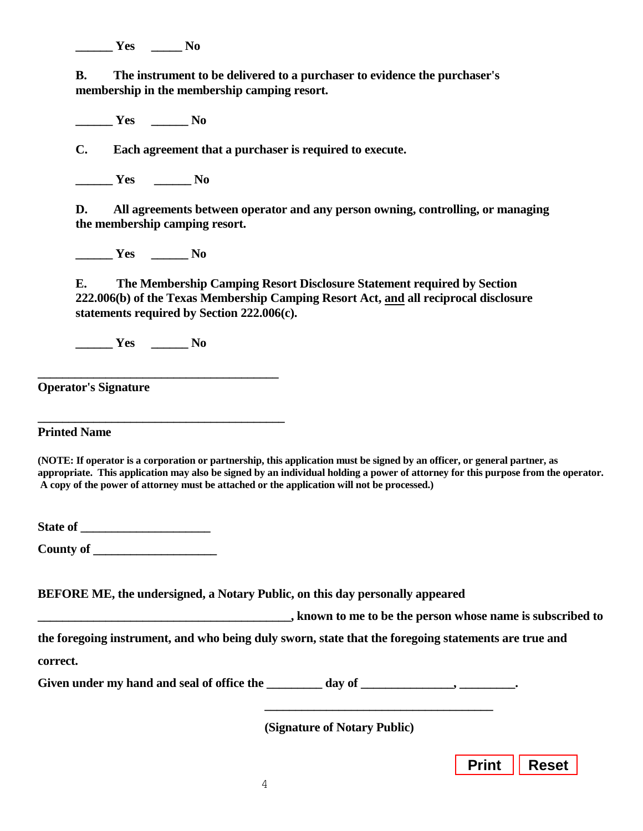**\_\_\_\_\_ \_\_\_\_\_\_ Yes No**

**B. The instrument to be delivered to a purchaser to evidence the purchaser's membership in the membership camping resort.**

**\_\_\_\_\_\_ Yes \_\_\_\_\_\_ No**

**C. Each agreement that a purchaser is required to execute.**

**\_\_\_\_\_\_ Yes \_\_\_\_\_\_ No**

**D. All agreements between operator and any person owning, controlling, or managing the membership camping resort.**

**\_\_\_\_\_\_ Yes \_\_\_\_\_\_ No**

**E. The Membership Camping Resort Disclosure Statement required by Section 222.006(b) of the Texas Membership Camping Resort Act, and all reciprocal disclosure statements required by Section 222.006(c).**

**\_\_\_\_\_\_ Yes \_\_\_\_\_\_ No**

**\_\_\_\_\_\_\_\_\_\_\_\_\_\_\_\_\_\_\_\_\_\_\_\_\_\_\_\_\_\_\_\_\_\_\_\_\_\_\_**

**\_\_\_\_\_\_\_\_\_\_\_\_\_\_\_\_\_\_\_\_\_\_\_\_\_\_\_\_\_\_\_\_\_\_\_\_\_\_\_\_**

**Operator's Signature**

**Printed Name**

**(NOTE: If operator is a corporation or partnership, this application must be signed by an officer, or general partner, as appropriate. This application may also be signed by an individual holding a power of attorney for this purpose from the operator. A copy of the power of attorney must be attached or the application will not be processed.)**

**State of \_\_\_\_\_\_\_\_\_\_\_\_\_\_\_\_\_\_\_\_\_\_** 

**\_\_\_\_\_\_\_\_\_\_\_\_\_\_\_\_\_\_\_\_ County of** 

**BEFORE ME, the undersigned, a Notary Public, on this day personally appeared**

**\_\_\_\_\_\_\_\_\_\_\_\_\_\_\_\_\_\_\_\_\_\_\_\_\_\_\_\_\_\_\_\_\_\_\_\_\_\_\_\_\_, known to me to be the person whose name is subscribed to**

**the foregoing instrument, and who being duly sworn, state that the foregoing statements are true and correct.**

Given under my hand and seal of office the \_\_\_\_\_\_\_\_\_\_\_ day of \_\_\_\_\_\_\_\_\_\_\_\_\_\_\_\_\_\_\_, \_\_\_\_\_\_\_\_\_\_\_\_\_\_.

**(Signature of Notary Public)**

**\_\_\_\_\_\_\_\_\_\_\_\_\_\_\_\_\_\_\_\_\_\_\_\_\_\_\_\_\_\_\_\_\_\_\_\_\_**